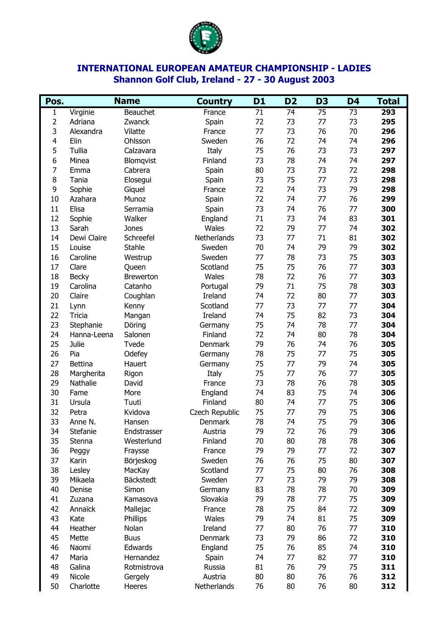

## **INTERNATIONAL EUROPEAN AMATEUR CHAMPIONSHIP - LADIES Shannon Golf Club, Ireland - 27 - 30 August 2003**

| Pos. | <b>Name</b>    |                  | <b>Country</b> | D <sub>1</sub> | D <sub>2</sub> | D <sub>3</sub>  | D4              | <b>Total</b> |
|------|----------------|------------------|----------------|----------------|----------------|-----------------|-----------------|--------------|
| 1    | Virginie       | Beauchet         | France         | 71             | 74             | $\overline{75}$ | $\overline{73}$ | 293          |
| 2    | Adriana        | Zwanck           | Spain          | 72             | 73             | 77              | 73              | 295          |
| 3    | Alexandra      | Vilatte          | France         | 77             | 73             | 76              | 70              | 296          |
| 4    | Elin           | Ohlsson          | Sweden         | 76             | 72             | 74              | 74              | 296          |
| 5    | Tullia         | Calzavara        | Italy          | 75             | 76             | 73              | 73              | 297          |
| 6    | Minea          | Blomqvist        | Finland        | 73             | 78             | 74              | 74              | 297          |
| 7    | Emma           | Cabrera          | Spain          | 80             | 73             | 73              | 72              | 298          |
| 8    | Tania          | Elosegui         | Spain          | 73             | 75             | 77              | 73              | 298          |
| 9    | Sophie         | Giquel           | France         | 72             | 74             | 73              | 79              | 298          |
| 10   | Azahara        | Munoz            | Spain          | 72             | 74             | 77              | 76              | 299          |
| 11   | Elisa          | Serramia         | Spain          | 73             | 74             | 76              | 77              | 300          |
| 12   | Sophie         | Walker           | England        | 71             | 73             | 74              | 83              | 301          |
| 13   | Sarah          | Jones            | Wales          | 72             | 79             | 77              | 74              | 302          |
| 14   | Dewi Claire    | Schreefel        | Netherlands    | 73             | 77             | 71              | 81              | 302          |
| 15   | Louise         | <b>Stahle</b>    | Sweden         | 70             | 74             | 79              | 79              | 302          |
| 16   | Caroline       | Westrup          | Sweden         | 77             | 78             | 73              | 75              | 303          |
| 17   | Clare          | Queen            | Scotland       | 75             | 75             | 76              | 77              | 303          |
| 18   | <b>Becky</b>   | <b>Brewerton</b> | Wales          | 78             | 72             | 76              | 77              | 303          |
| 19   | Carolina       | Catanho          | Portugal       | 79             | 71             | 75              | 78              | 303          |
| 20   | Claire         | Coughlan         | Ireland        | 74             | 72             | 80              | 77              | 303          |
| 21   | Lynn           | Kenny            | Scotland       | 77             | 73             | 77              | 77              | 304          |
| 22   | Tricia         | Mangan           | Ireland        | 74             | 75             | 82              | 73              | 304          |
| 23   | Stephanie      | Döring           | Germany        | 75             | 74             | 78              | 77              | 304          |
| 24   | Hanna-Leena    | Salonen          | Finland        | 72             | 74             | 80              | 78              | 304          |
| 25   | Julie          | Tvede            | Denmark        | 79             | 76             | 74              | 76              | 305          |
| 26   | Pia            | Odefey           | Germany        | 78             | 75             | 77              | 75              | 305          |
| 27   | <b>Bettina</b> | Hauert           | Germany        | 75             | 77             | 79              | 74              | 305          |
| 28   | Margherita     | Rigon            | Italy          | 75             | 77             | 76              | 77              | 305          |
| 29   | Nathalie       | David            | France         | 73             | 78             | 76              | 78              | 305          |
| 30   | Fame           | More             | England        | 74             | 83             | 75              | 74              | 306          |
| 31   | Ursula         | Tuuti            | Finland        | 80             | 74             | 77              | 75              | 306          |
| 32   | Petra          | Kvidova          | Czech Republic | 75             | 77             | 79              | 75              | 306          |
| 33   | Anne N.        | Hansen           | Denmark        | 78             | 74             | 75              | 79              | 306          |
| 34   | Stefanie       | Endstrasser      | Austria        | 79             | 72             | 76              | 79              | 306          |
| 35   | Stenna         | Westerlund       | Finland        | 70             | 80             | 78              | 78              | 306          |
| 36   | Peggy          | Fraysse          | France         | 79             | 79             | 77              | 72              | 307          |
| 37   | Karin          | Börjeskog        | Sweden         | 76             | 76             | 75              | 80              | 307          |
| 38   | Lesley         | MacKay           | Scotland       | 77             | 75             | 80              | 76              | 308          |
| 39   | Mikaela        | Bäckstedt        | Sweden         | 77             | 73             | 79              | 79              | 308          |
| 40   | Denise         | Simon            | Germany        | 83             | 78             | 78              | 70              | 309          |
| 41   | Zuzana         | Kamasova         | Slovakia       | 79             | 78             | 77              | 75              | 309          |
| 42   | Annaïck        | Mallejac         | France         | 78             | 75             | 84              | 72              | 309          |
| 43   | Kate           | Phillips         | Wales          | 79             | 74             | 81              | 75              | 309          |
| 44   | Heather        | Nolan            | Ireland        | 77             | 80             | 76              | 77              | 310          |
| 45   | Mette          | <b>Buus</b>      | Denmark        | 73             | 79             | 86              | 72              | 310          |
| 46   | Naomi          | Edwards          | England        | 75             | 76             | 85              | 74              | 310          |
| 47   | Maria          | Hernandez        | Spain          | 74             | 77             | 82              | 77              | 310          |
| 48   | Galina         | Rotmistrova      | Russia         | 81             | 76             | 79              | 75              | 311          |
| 49   | Nicole         | Gergely          | Austria        | 80             | 80             | 76              | 76              | 312          |
| 50   | Charlotte      | Heeres           | Netherlands    | 76             | 80             | 76              | 80              | 312          |